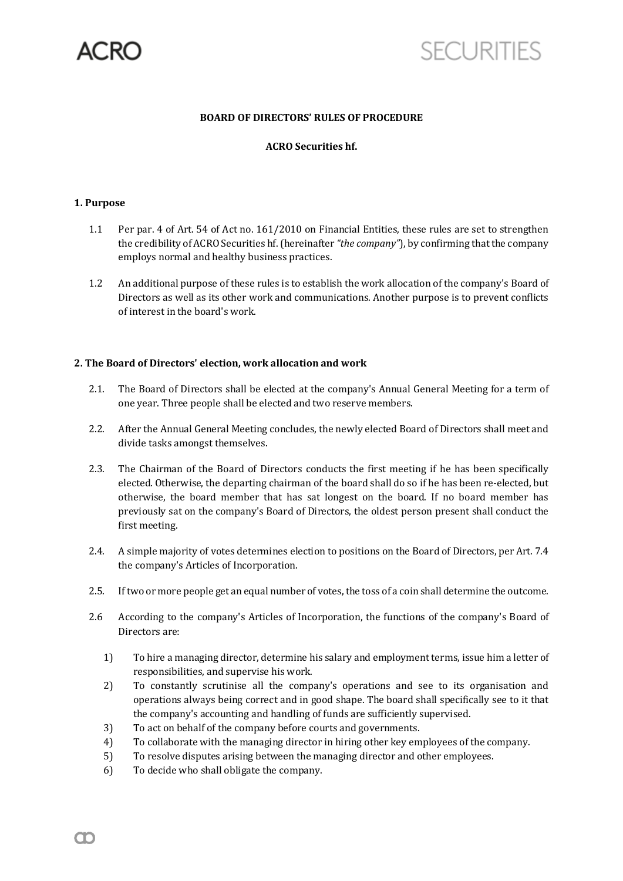

# **SECURITIES**

#### **BOARD OF DIRECTORS' RULES OF PROCEDURE**

## **ACRO Securities hf.**

#### **1. Purpose**

- 1.1 Per par. 4 of Art. 54 of Act no. 161/2010 on Financial Entities, these rules are set to strengthen the credibility of ACRO Securities hf. (hereinafter *"the company*"), by confirming that the company employs normal and healthy business practices.
- 1.2 An additional purpose of these rules is to establish the work allocation of the company's Board of Directors as well as its other work and communications. Another purpose is to prevent conflicts of interest in the board's work.

#### **2. The Board of Directors' election, work allocation and work**

- 2.1. The Board of Directors shall be elected at the company's Annual General Meeting for a term of one year. Three people shall be elected and two reserve members.
- 2.2. After the Annual General Meeting concludes, the newly elected Board of Directors shall meet and divide tasks amongst themselves.
- 2.3. The Chairman of the Board of Directors conducts the first meeting if he has been specifically elected. Otherwise, the departing chairman of the board shall do so if he has been re-elected, but otherwise, the board member that has sat longest on the board. If no board member has previously sat on the company's Board of Directors, the oldest person present shall conduct the first meeting.
- 2.4. A simple majority of votes determines election to positions on the Board of Directors, per Art. 7.4 the company's Articles of Incorporation.
- 2.5. If two or more people get an equal number of votes, the toss of a coin shall determine the outcome.
- 2.6 According to the company's Articles of Incorporation, the functions of the company's Board of Directors are:
	- 1) To hire a managing director, determine his salary and employment terms, issue him a letter of responsibilities, and supervise his work.
	- 2) To constantly scrutinise all the company's operations and see to its organisation and operations always being correct and in good shape. The board shall specifically see to it that the company's accounting and handling of funds are sufficiently supervised.
	- 3) To act on behalf of the company before courts and governments.
	- 4) To collaborate with the managing director in hiring other key employees of the company.
	- 5) To resolve disputes arising between the managing director and other employees.
	- 6) To decide who shall obligate the company.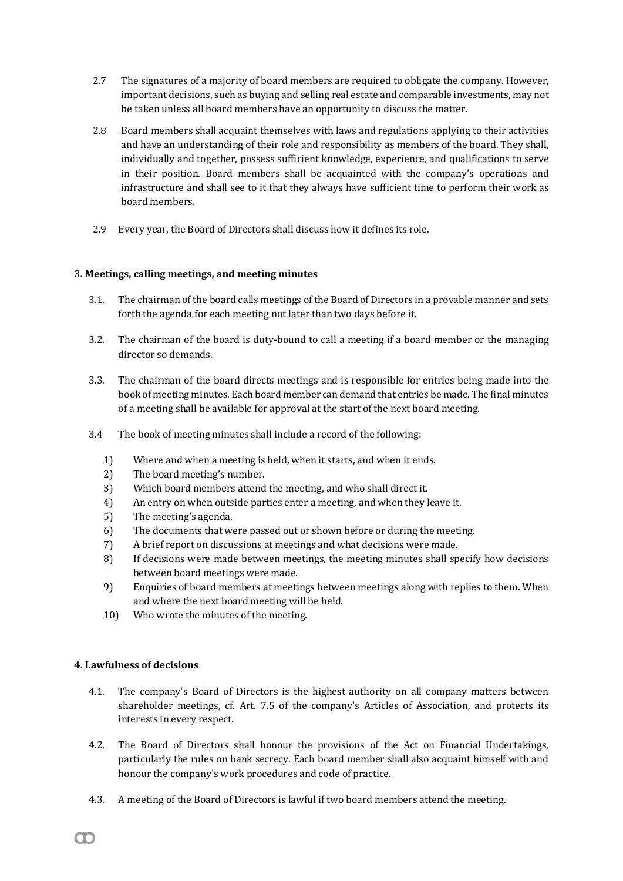- 2.7 The signatures of a majority of board members are required to obligate the company. However, important decisions, such as buying and selling real estate and comparable investments, may not be taken unless all board members have an opportunity to discuss the matter.
- 2.8 Board members shall acquaint themselves with laws and regulations applying to their activities and have an understanding of their role and responsibility as members of the board. They shall, individually and together, possess sufficient knowledge, experience, and qualifications to serve in their position. Board members shall be acquainted with the company's operations and infrastructure and shall see to it that they always have sufficient time to perform their work as board members.
- 2.9 Every year, the Board of Directors shall discuss how it defines its role.

## **3. Meetings, calling meetings, and meeting minutes**

- 3.1. The chairman of the board calls meetings of the Board of Directors in a provable manner and sets forth the agenda for each meeting not later than two days before it.
- 3.2. The chairman of the board is duty-bound to call a meeting if a board member or the managing director so demands.
- 3.3. The chairman of the board directs meetings and is responsible for entries being made into the book of meeting minutes. Each board member can demand that entries be made. The final minutes of a meeting shall be available for approval at the start of the next board meeting.
- 3.4 The book of meeting minutes shall include a record of the following:
	- 1) Where and when a meeting is held, when it starts, and when it ends.
	- 2) The board meeting's number.
	- 3) Which board members attend the meeting, and who shall direct it.
	- 4) An entry on when outside parties enter a meeting, and when they leave it.
	- 5) The meeting's agenda.
	- 6) The documents that were passed out or shown before or during the meeting.
	- 7) A brief report on discussions at meetings and what decisions were made.
	- 8) If decisions were made between meetings, the meeting minutes shall specify how decisions between board meetings were made.
	- 9) Enquiries of board members at meetings between meetings along with replies to them. When and where the next board meeting will be held.
	- 10) Who wrote the minutes of the meeting.

## **4. Lawfulness of decisions**

- 4.1. The company's Board of Directors is the highest authority on all company matters between shareholder meetings, cf. Art. 7.5 of the company's Articles of Association, and protects its interests in every respect.
- 4.2. The Board of Directors shall honour the provisions of the Act on Financial Undertakings, particularly the rules on bank secrecy. Each board member shall also acquaint himself with and honour the company's work procedures and code of practice.
- 4.3. A meeting of the Board of Directors is lawful if two board members attend the meeting.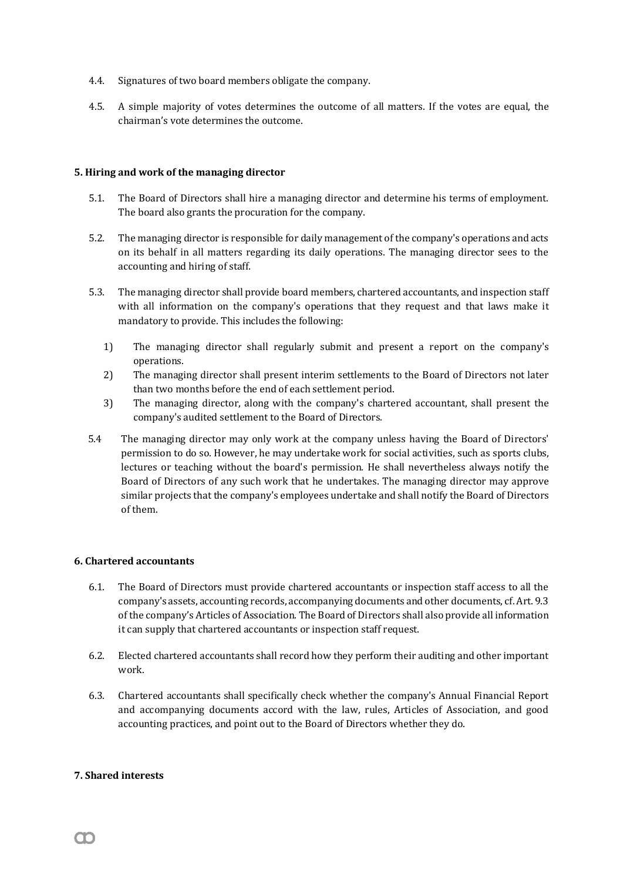- 4.4. Signatures of two board members obligate the company.
- 4.5. A simple majority of votes determines the outcome of all matters. If the votes are equal, the chairman's vote determines the outcome.

#### **5. Hiring and work of the managing director**

- 5.1. The Board of Directors shall hire a managing director and determine his terms of employment. The board also grants the procuration for the company.
- 5.2. The managing director is responsible for daily management of the company's operations and acts on its behalf in all matters regarding its daily operations. The managing director sees to the accounting and hiring of staff.
- 5.3. The managing director shall provide board members, chartered accountants, and inspection staff with all information on the company's operations that they request and that laws make it mandatory to provide. This includes the following:
	- 1) The managing director shall regularly submit and present a report on the company's operations.
	- 2) The managing director shall present interim settlements to the Board of Directors not later than two months before the end of each settlement period.
	- 3) The managing director, along with the company's chartered accountant, shall present the company's audited settlement to the Board of Directors.
- 5.4 The managing director may only work at the company unless having the Board of Directors' permission to do so. However, he may undertake work for social activities, such as sports clubs, lectures or teaching without the board's permission. He shall nevertheless always notify the Board of Directors of any such work that he undertakes. The managing director may approve similar projects that the company's employees undertake and shall notify the Board of Directors of them.

## **6. Chartered accountants**

- 6.1. The Board of Directors must provide chartered accountants or inspection staff access to all the company's assets, accounting records, accompanying documents and other documents, cf. Art. 9.3 of the company's Articles of Association. The Board of Directors shall also provide all information it can supply that chartered accountants or inspection staff request.
- 6.2. Elected chartered accountants shall record how they perform their auditing and other important work.
- 6.3. Chartered accountants shall specifically check whether the company's Annual Financial Report and accompanying documents accord with the law, rules, Articles of Association, and good accounting practices, and point out to the Board of Directors whether they do.

#### **7. Shared interests**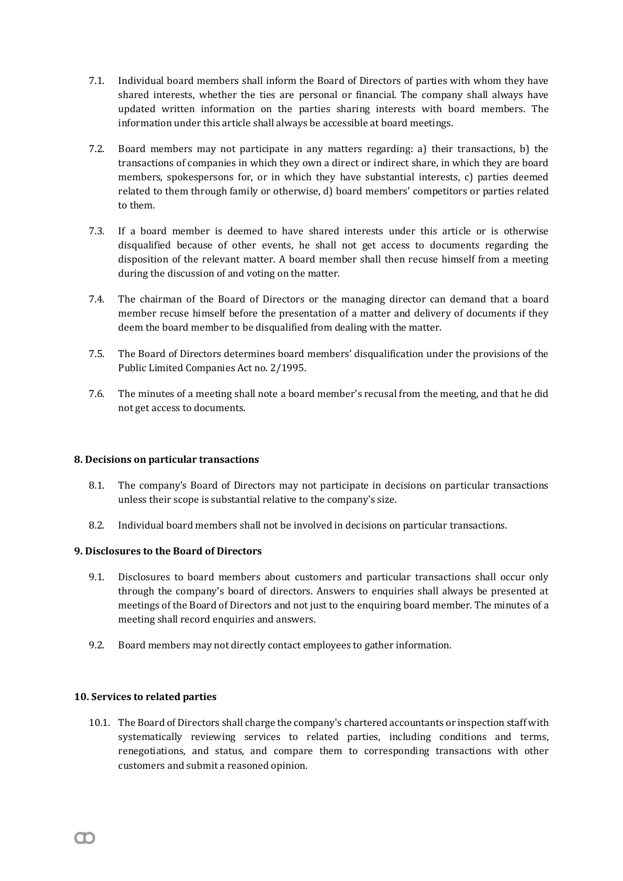- 7.1. Individual board members shall inform the Board of Directors of parties with whom they have shared interests, whether the ties are personal or financial. The company shall always have updated written information on the parties sharing interests with board members. The information under this article shall always be accessible at board meetings.
- 7.2. Board members may not participate in any matters regarding: a) their transactions, b) the transactions of companies in which they own a direct or indirect share, in which they are board members, spokespersons for, or in which they have substantial interests, c) parties deemed related to them through family or otherwise, d) board members' competitors or parties related to them.
- 7.3. If a board member is deemed to have shared interests under this article or is otherwise disqualified because of other events, he shall not get access to documents regarding the disposition of the relevant matter. A board member shall then recuse himself from a meeting during the discussion of and voting on the matter.
- 7.4. The chairman of the Board of Directors or the managing director can demand that a board member recuse himself before the presentation of a matter and delivery of documents if they deem the board member to be disqualified from dealing with the matter.
- 7.5. The Board of Directors determines board members' disqualification under the provisions of the Public Limited Companies Act no. 2/1995.
- 7.6. The minutes of a meeting shall note a board member's recusal from the meeting, and that he did not get access to documents.

## **8. Decisions on particular transactions**

- 8.1. The company's Board of Directors may not participate in decisions on particular transactions unless their scope is substantial relative to the company's size.
- 8.2. Individual board members shall not be involved in decisions on particular transactions.

## **9. Disclosures to the Board of Directors**

- 9.1. Disclosures to board members about customers and particular transactions shall occur only through the company's board of directors. Answers to enquiries shall always be presented at meetings of the Board of Directors and not just to the enquiring board member. The minutes of a meeting shall record enquiries and answers.
- 9.2. Board members may not directly contact employees to gather information.

## **10. Services to related parties**

m

10.1. The Board of Directors shall charge the company's chartered accountants or inspection staff with systematically reviewing services to related parties, including conditions and terms, renegotiations, and status, and compare them to corresponding transactions with other customers and submit a reasoned opinion.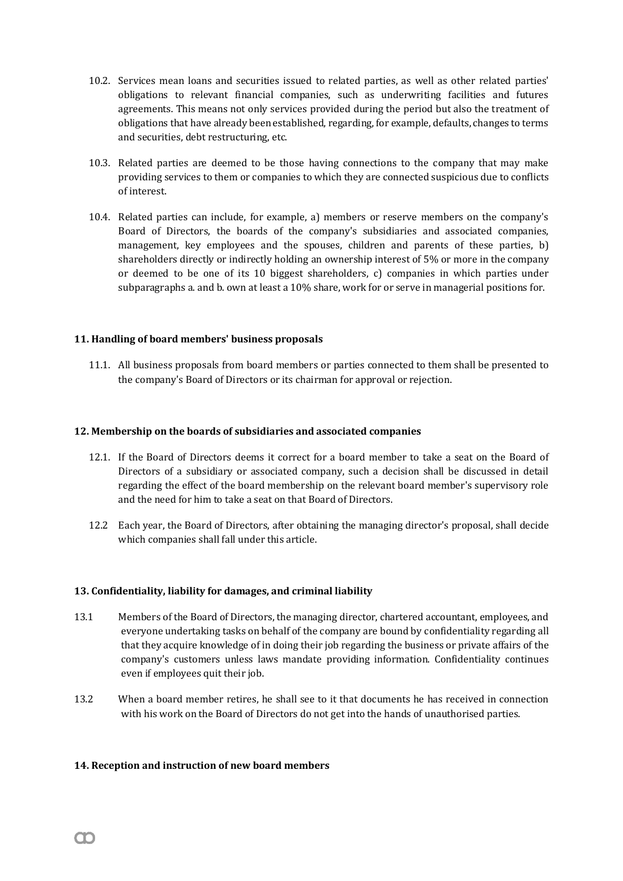- 10.2. Services mean loans and securities issued to related parties, as well as other related parties' obligations to relevant financial companies, such as underwriting facilities and futures agreements. This means not only services provided during the period but also the treatment of obligations that have already been established, regarding, for example, defaults, changes to terms and securities, debt restructuring, etc.
- 10.3. Related parties are deemed to be those having connections to the company that may make providing services to them or companies to which they are connected suspicious due to conflicts of interest.
- 10.4. Related parties can include, for example, a) members or reserve members on the company's Board of Directors, the boards of the company's subsidiaries and associated companies, management, key employees and the spouses, children and parents of these parties, b) shareholders directly or indirectly holding an ownership interest of 5% or more in the company or deemed to be one of its 10 biggest shareholders, c) companies in which parties under subparagraphs a. and b. own at least a 10% share, work for or serve in managerial positions for.

## **11. Handling of board members' business proposals**

11.1. All business proposals from board members or parties connected to them shall be presented to the company's Board of Directors or its chairman for approval or rejection.

#### **12. Membership on the boards of subsidiaries and associated companies**

- 12.1. If the Board of Directors deems it correct for a board member to take a seat on the Board of Directors of a subsidiary or associated company, such a decision shall be discussed in detail regarding the effect of the board membership on the relevant board member's supervisory role and the need for him to take a seat on that Board of Directors.
- 12.2 Each year, the Board of Directors, after obtaining the managing director's proposal, shall decide which companies shall fall under this article.

#### **13. Confidentiality, liability for damages, and criminal liability**

- 13.1 Members of the Board of Directors, the managing director, chartered accountant, employees, and everyone undertaking tasks on behalf of the company are bound by confidentiality regarding all that they acquire knowledge of in doing their job regarding the business or private affairs of the company's customers unless laws mandate providing information. Confidentiality continues even if employees quit their job.
- 13.2 When a board member retires, he shall see to it that documents he has received in connection with his work on the Board of Directors do not get into the hands of unauthorised parties.

#### **14. Reception and instruction of new board members**

m